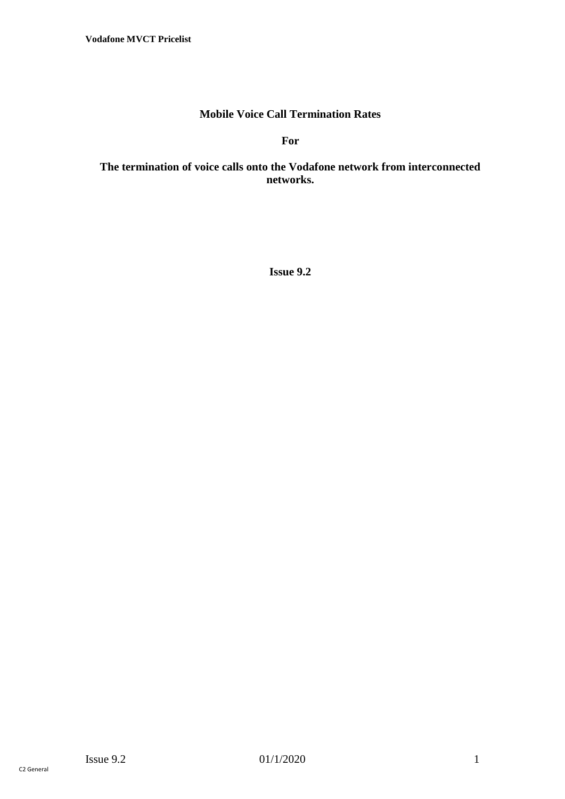## **Mobile Voice Call Termination Rates**

**For** 

### **The termination of voice calls onto the Vodafone network from interconnected networks.**

**Issue 9.2**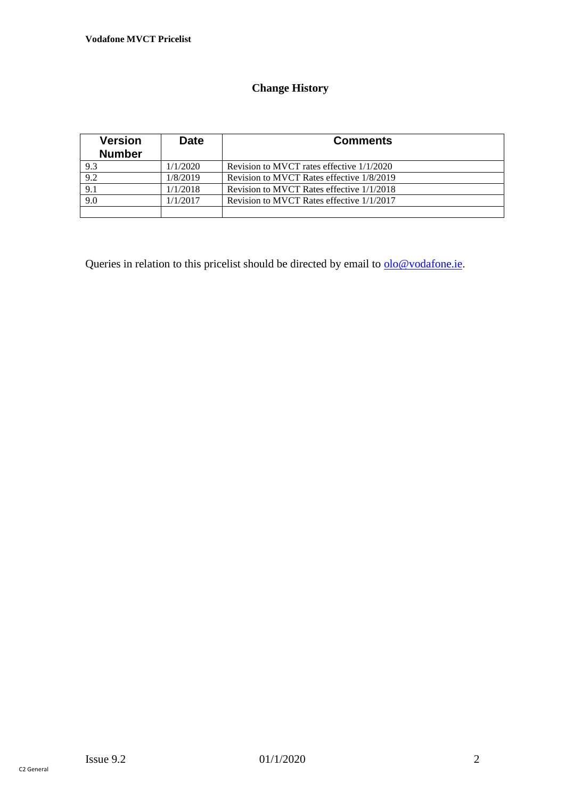# **Change History**

| <b>Version</b><br><b>Number</b> | <b>Date</b> | <b>Comments</b>                           |
|---------------------------------|-------------|-------------------------------------------|
| 9.3                             | 1/1/2020    | Revision to MVCT rates effective 1/1/2020 |
| 9.2                             | 1/8/2019    | Revision to MVCT Rates effective 1/8/2019 |
| 9.1                             | 1/1/2018    | Revision to MVCT Rates effective 1/1/2018 |
| 9.0                             | 1/1/2017    | Revision to MVCT Rates effective 1/1/2017 |
|                                 |             |                                           |

Queries in relation to this pricelist should be directed by email to  $\underline{olo@vodafone.ie}$ .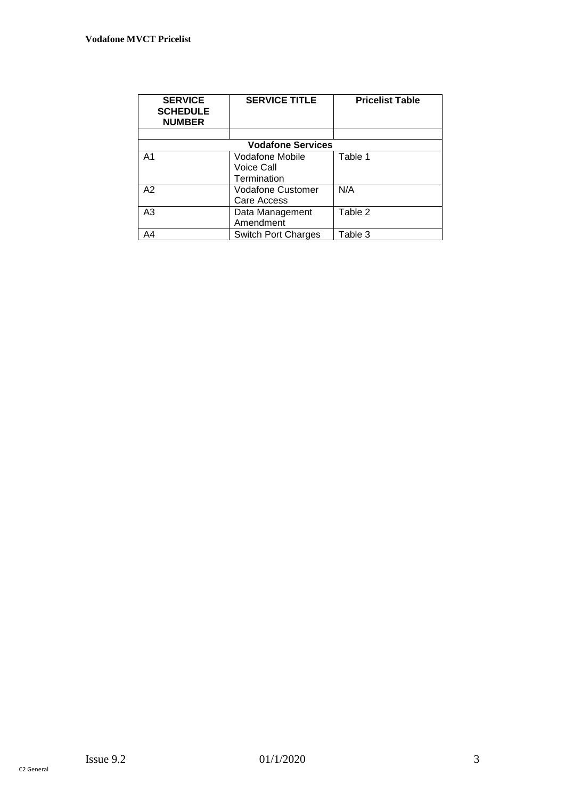| <b>SERVICE</b><br><b>SCHEDULE</b><br><b>NUMBER</b> | <b>SERVICE TITLE</b>                         | <b>Pricelist Table</b> |  |  |  |  |
|----------------------------------------------------|----------------------------------------------|------------------------|--|--|--|--|
|                                                    |                                              |                        |  |  |  |  |
| <b>Vodafone Services</b>                           |                                              |                        |  |  |  |  |
| A <sub>1</sub>                                     | Vodafone Mobile<br>Voice Call<br>Termination | Table 1                |  |  |  |  |
| A2                                                 | <b>Vodafone Customer</b><br>Care Access      | N/A                    |  |  |  |  |
| A <sub>3</sub>                                     | Data Management<br>Amendment                 | Table 2                |  |  |  |  |
| A4                                                 | <b>Switch Port Charges</b>                   | Table 3                |  |  |  |  |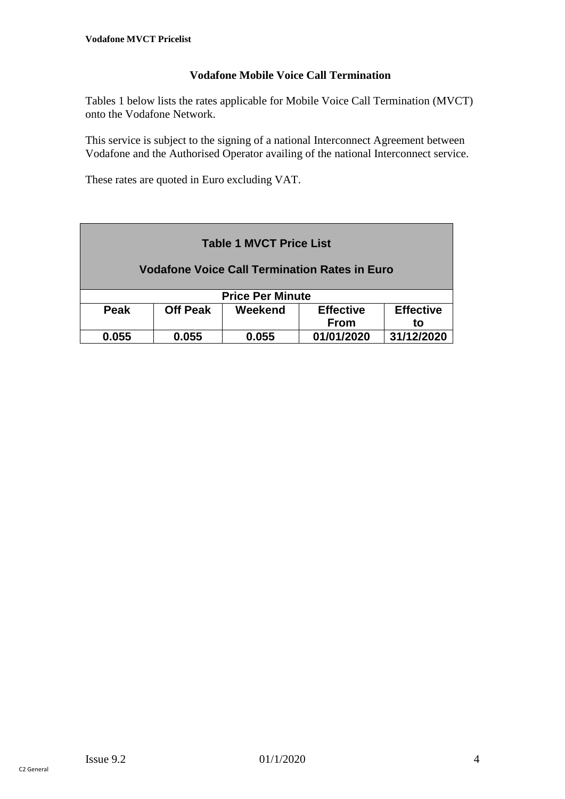### **Vodafone Mobile Voice Call Termination**

Tables 1 below lists the rates applicable for Mobile Voice Call Termination (MVCT) onto the Vodafone Network.

This service is subject to the signing of a national Interconnect Agreement between Vodafone and the Authorised Operator availing of the national Interconnect service.

These rates are quoted in Euro excluding VAT.

| <b>Table 1 MVCT Price List</b>                       |                 |         |                  |                  |  |  |
|------------------------------------------------------|-----------------|---------|------------------|------------------|--|--|
| <b>Vodafone Voice Call Termination Rates in Euro</b> |                 |         |                  |                  |  |  |
| <b>Price Per Minute</b>                              |                 |         |                  |                  |  |  |
| Peak                                                 | <b>Off Peak</b> | Weekend | <b>Effective</b> | <b>Effective</b> |  |  |
|                                                      |                 |         | <b>From</b>      | to               |  |  |
| 0.055                                                | 0.055           | 0.055   | 01/01/2020       | 31/12/2020       |  |  |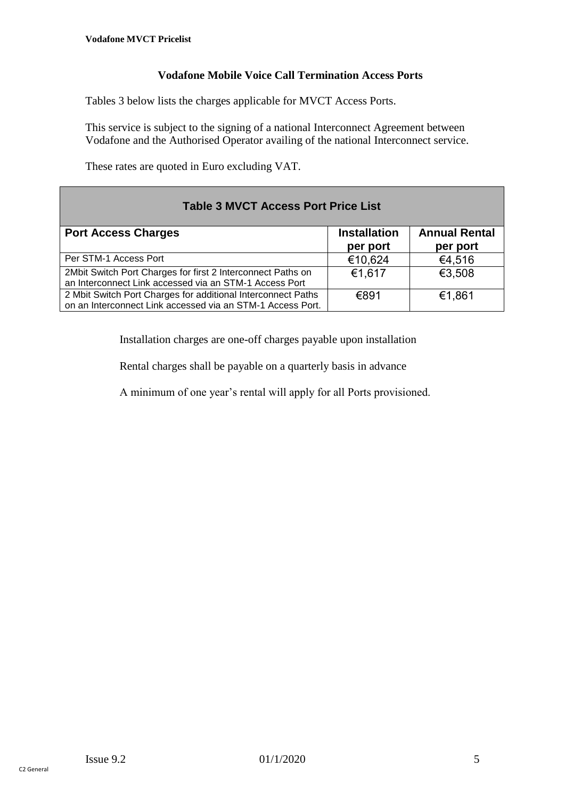### **Vodafone Mobile Voice Call Termination Access Ports**

Tables 3 below lists the charges applicable for MVCT Access Ports.

This service is subject to the signing of a national Interconnect Agreement between Vodafone and the Authorised Operator availing of the national Interconnect service.

These rates are quoted in Euro excluding VAT.

| <b>Table 3 MVCT Access Port Price List</b>                                                                                 |                                 |                                  |  |  |  |
|----------------------------------------------------------------------------------------------------------------------------|---------------------------------|----------------------------------|--|--|--|
| <b>Port Access Charges</b>                                                                                                 | <b>Installation</b><br>per port | <b>Annual Rental</b><br>per port |  |  |  |
| Per STM-1 Access Port                                                                                                      | €10,624                         | €4,516                           |  |  |  |
| 2Mbit Switch Port Charges for first 2 Interconnect Paths on<br>an Interconnect Link accessed via an STM-1 Access Port      | €1,617                          | €3,508                           |  |  |  |
| 2 Mbit Switch Port Charges for additional Interconnect Paths<br>on an Interconnect Link accessed via an STM-1 Access Port. | €891                            | €1,861                           |  |  |  |

Installation charges are one-off charges payable upon installation

Rental charges shall be payable on a quarterly basis in advance

A minimum of one year's rental will apply for all Ports provisioned.